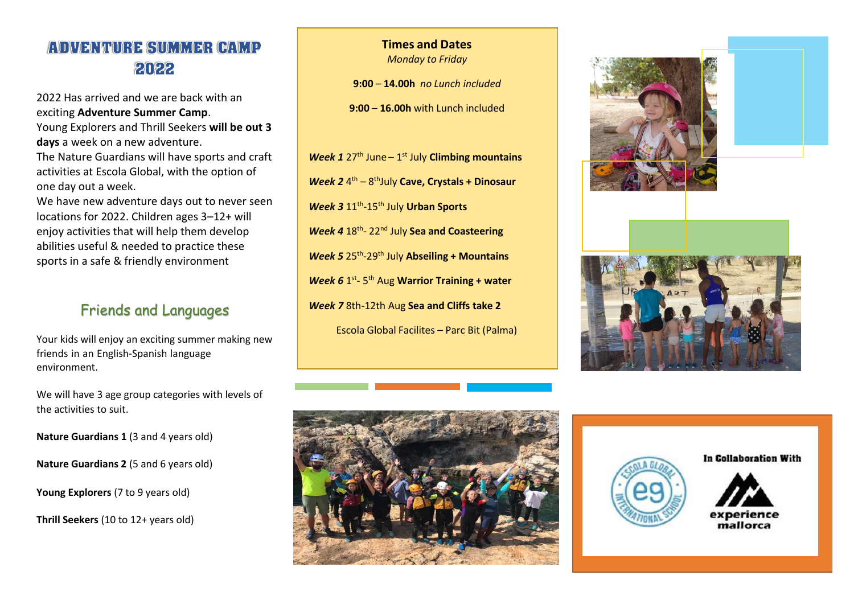## **ADVENTURE SUMMER CAMP** 2022

2022 Has arrived and we are back with an exciting **Adventure Summer Camp**. Young Explorers and Thrill Seekers **will be out 3 days** a week on a new adventure. The Nature Guardians will have sports and craft activities at Escola Global, with the option of one day out a week. We have new adventure days out to never seen locations for 2022. Children ages 3–12+ will enjoy activities that will help them develop

abilities useful & needed to practice these sports in a safe & friendly environment

## Friends and Languages

Your kids will enjoy an exciting summer making new friends in an English-Spanish language environment.

We will have 3 age group categories with levels of the activities to suit.

**Nature Guardians 1** (3 and 4 years old)

**Nature Guardians 2** (5 and 6 years old)

**Young Explorers** (7 to 9 years old)

**Thrill Seekers** (10 to 12+ years old)

# **Times and Dates**

*Monday to Friday*

**9:00** – **14.00h** *no Lunch included*

**9:00** – **16.00h** with Lunch included

Week 1 27<sup>th</sup> June - 1<sup>st</sup> July Climbing mountains Week 2 <sup>4th</sup> – 8<sup>th</sup>July Cave, Crystals + Dinosaur *Week 3* 11th -15th July **Urban Sports** *Week 4* 18th - 22nd July **Sea and Coasteering** *Week 5* 25th -29th July **Abseiling + Mountains Week 6** 1<sup>st</sup>-5<sup>th</sup> Aug **Warrior Training + water** *Week 7* 8th-12th Aug **Sea and Cliffs take 2** Escola Global Facilites – Parc Bit (Palma)









In Collaboration With